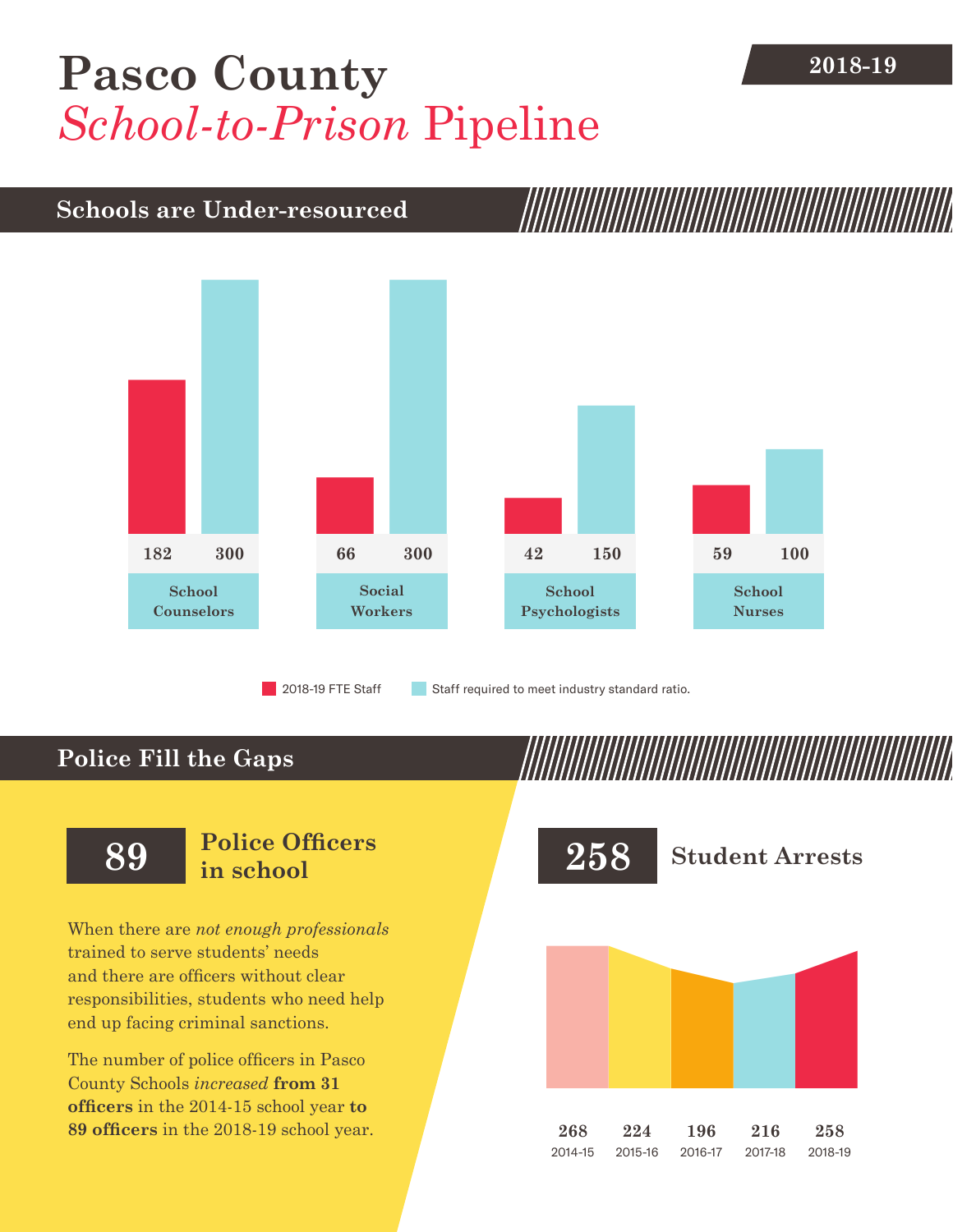## [Pasco County](DBF_County) **2018-19** *School-to-Prison* Pipeline

### **Schools are Under-resourced**



2018-19 FTE Staff **Staff required to meet industry standard ratio.** 

## **Police Fill the Gaps**

When there are *not enough professionals* trained to serve students' needs and there are officers without clear responsibilities, students who need help end up facing criminal sanctions.

The number of police officers in [Pasco](DBF_County)  [County](DBF_County) Schools *increased* **from [31](DBF_PO1415)  officers** in the 2014-15 school year **to [89](DBF_PO) officers** in the 2018-19 school year.